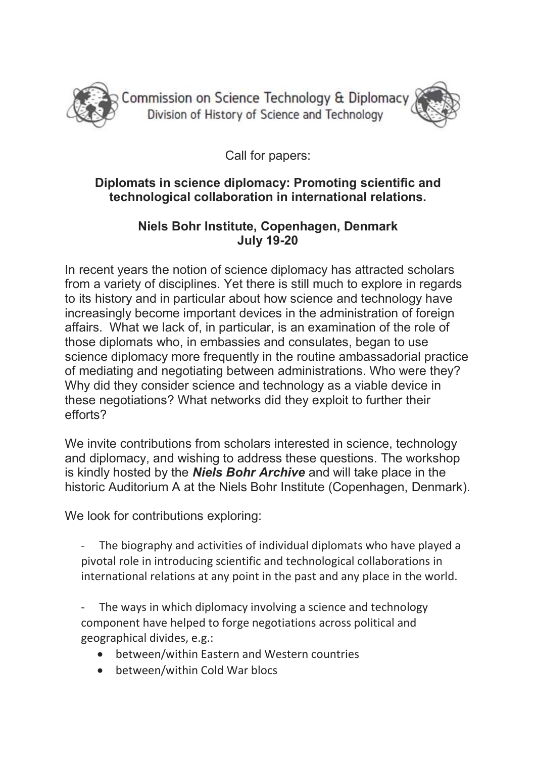

Commission on Science Technology & Diplomacy Division of History of Science and Technology



Call for papers:

## Diplomats in science diplomacy: Promoting scientific and technological collaboration in international relations.

## Niels Bohr Institute, Copenhagen, Denmark July 19-20

In recent years the notion of science diplomacy has attracted scholars from a variety of disciplines. Yet there is still much to explore in regards to its history and in particular about how science and technology have increasingly become important devices in the administration of foreign affairs. What we lack of, in particular, is an examination of the role of those diplomats who, in embassies and consulates, began to use science diplomacy more frequently in the routine ambassadorial practice of mediating and negotiating between administrations. Who were they? Why did they consider science and technology as a viable device in these negotiations? What networks did they exploit to further their efforts?

We invite contributions from scholars interested in science, technology and diplomacy, and wishing to address these questions. The workshop is kindly hosted by the **Niels Bohr Archive** and will take place in the historic Auditorium A at the Niels Bohr Institute (Copenhagen, Denmark).

We look for contributions exploring:

The biography and activities of individual diplomats who have played a pivotal role in introducing scientific and technological collaborations in international relations at any point in the past and any place in the world.

- The ways in which diplomacy involving a science and technology component have helped to forge negotiations across political and geographical divides, e.g.:

- between/within Eastern and Western countries
- between/within Cold War blocs